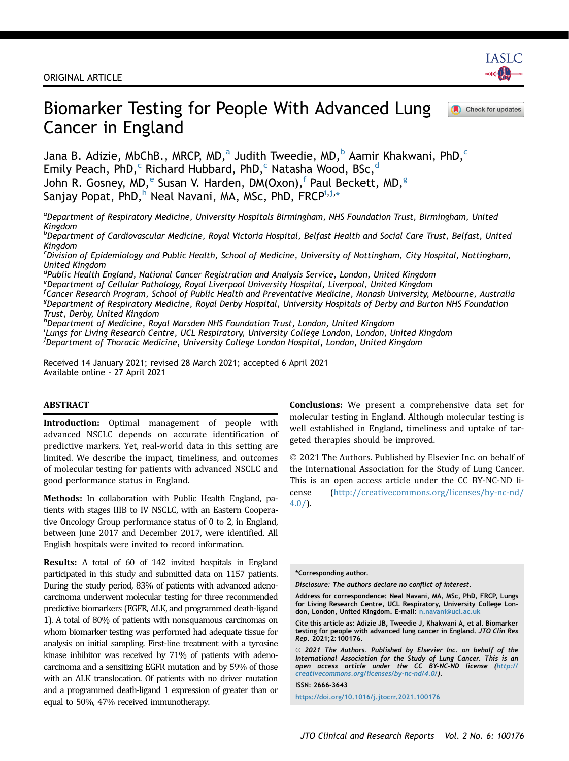

Check for updates

# Biomarker Testing for People With Advanced Lung Cancer in England

J[a](#page-0-0)na B. Adizie, M[b](#page-0-1)ChB., MRCP, MD,<sup>a</sup> Judith Tweedie, MD,<sup>b</sup> Aamir Khakwani, PhD,<sup>[c](#page-0-2)</sup> Emily Pea[c](#page-0-2)h, PhD,<sup>c</sup> Richar[d](#page-0-3) Hubbard, PhD,<sup>c</sup> Natasha Wood, BSc,<sup>d</sup> John R. Gosn[e](#page-0-4)y, MD,<sup>e</sup> Susan V. Harden, DM(Oxon),<sup>[f](#page-0-5)</sup> Paul Beckett, MD,<sup>g</sup> Sanjay Popat, P[h](#page-0-7)D,<sup>h</sup> Neal Navan[i](#page-0-8), MA, MSc, PhD, FRCP<sup>i[,j](#page-0-9),</sup>\*

<span id="page-0-0"></span><sup>a</sup>Department of Respiratory Medicine, University Hospitals Birmingham, NHS Foundation Trust, Birmingham, United Kingdom

<span id="page-0-1"></span>b Department of Cardiovascular Medicine, Royal Victoria Hospital, Belfast Health and Social Care Trust, Belfast, United Kingdom

<span id="page-0-2"></span>c Division of Epidemiology and Public Health, School of Medicine, University of Nottingham, City Hospital, Nottingham, United Kingdom

<span id="page-0-4"></span><span id="page-0-3"></span><sup>d</sup>Public Health England, National Cancer Registration and Analysis Service, London, United Kingdom e Department of Cellular Pathology, Royal Liverpool University Hospital, Liverpool, United Kingdom

<span id="page-0-6"></span><span id="page-0-5"></span><sup>f</sup>Cancer Research Program, School of Public Health and Preventative Medicine, Monash University, Melbourne, Australia <sup>g</sup>Department of Respiratory Medicine, Royal Derby Hospital, University Hospitals of Derby and Burton NHS Foundation

Trust, Derby, United Kingdom

<span id="page-0-9"></span><span id="page-0-8"></span><span id="page-0-7"></span>h<br>Department of Medicine, Royal Marsden NHS Foundation Trust, London, United Kingdom i Lungs for Living Research Centre, UCL Respiratory, University College London, London, United Kingdom <sup>j</sup>Department of Thoracic Medicine, University College London Hospital, London, United Kingdom

Received 14 January 2021; revised 28 March 2021; accepted 6 April 2021 Available online - 27 April 2021

#### ABSTRACT

Introduction: Optimal management of people with advanced NSCLC depends on accurate identification of predictive markers. Yet, real-world data in this setting are limited. We describe the impact, timeliness, and outcomes of molecular testing for patients with advanced NSCLC and good performance status in England.

Methods: In collaboration with Public Health England, patients with stages IIIB to IV NSCLC, with an Eastern Cooperative Oncology Group performance status of 0 to 2, in England, between June 2017 and December 2017, were identified. All English hospitals were invited to record information.

Results: A total of 60 of 142 invited hospitals in England participated in this study and submitted data on 1157 patients. During the study period, 83% of patients with advanced adenocarcinoma underwent molecular testing for three recommended predictive biomarkers (EGFR, ALK, and programmed death-ligand 1). A total of 80% of patients with nonsquamous carcinomas on whom biomarker testing was performed had adequate tissue for analysis on initial sampling. First-line treatment with a tyrosine kinase inhibitor was received by 71% of patients with adenocarcinoma and a sensitizing EGFR mutation and by 59% of those with an ALK translocation. Of patients with no driver mutation and a programmed death-ligand 1 expression of greater than or equal to 50%, 47% received immunotherapy.

Conclusions: We present a comprehensive data set for molecular testing in England. Although molecular testing is well established in England, timeliness and uptake of targeted therapies should be improved.

 2021 The Authors. Published by Elsevier Inc. on behalf of the International Association for the Study of Lung Cancer. This is an open access article under the CC BY-NC-ND license [\(http://creativecommons.org/licenses/by-nc-nd/](http://creativecommons.org/licenses/by-nc-nd/4.0/)  $4.0/$ ).

\*Corresponding author.

Disclosure: The authors declare no conflict of interest.

ISSN: 2666-3643

<https://doi.org/10.1016/j.jtocrr.2021.100176>

Address for correspondence: Neal Navani, MA, MSc, PhD, FRCP, Lungs for Living Research Centre, UCL Respiratory, University College Lon-don, London, United Kingdom. E-mail: [n.navani@ucl.ac.uk](mailto:n.navani@ucl.ac.uk)

Cite this article as: Adizie JB, Tweedie J, Khakwani A, et al. Biomarker testing for people with advanced lung cancer in England. JTO Clin Res Rep. 2021;2:100176.

 $@$  2021 The Authors. Published by Elsevier Inc. on behalf of the International Association for the Study of Lung Cancer. This is an open access article under the CC BY-NC-ND license ([http://](http://creativecommons.org/licenses/by-nc-nd/4.0/) [creativecommons.org/licenses/by-nc-nd/4.0/\)](http://creativecommons.org/licenses/by-nc-nd/4.0/).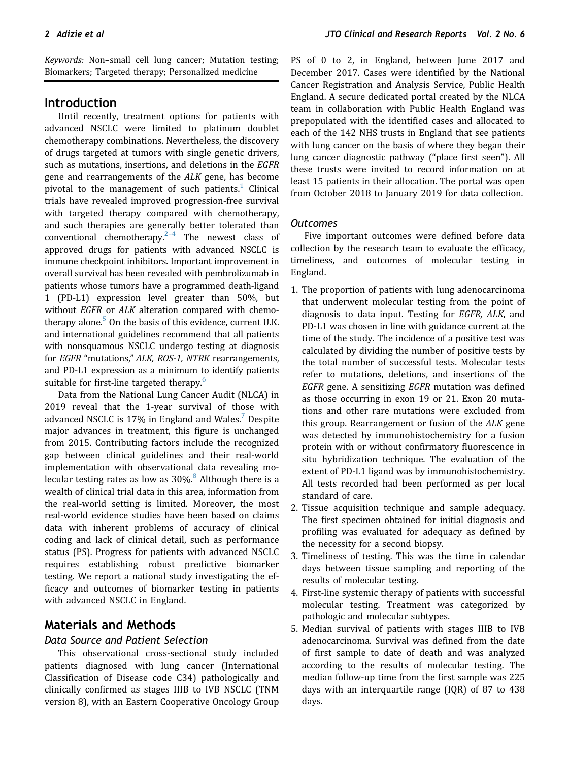Keywords: Non–small cell lung cancer; Mutation testing; Biomarkers; Targeted therapy; Personalized medicine

# Introduction

Until recently, treatment options for patients with advanced NSCLC were limited to platinum doublet chemotherapy combinations. Nevertheless, the discovery of drugs targeted at tumors with single genetic drivers, such as mutations, insertions, and deletions in the EGFR gene and rearrangements of the ALK gene, has become pivotal to the management of such patients.<sup>[1](#page-7-0)</sup> Clinical trials have revealed improved progression-free survival with targeted therapy compared with chemotherapy, and such therapies are generally better tolerated than conventional chemotherapy. $2-4$  The newest class of approved drugs for patients with advanced NSCLC is immune checkpoint inhibitors. Important improvement in overall survival has been revealed with pembrolizumab in patients whose tumors have a programmed death-ligand 1 (PD-L1) expression level greater than 50%, but without EGFR or ALK alteration compared with chemotherapy alone. $5$  On the basis of this evidence, current U.K. and international guidelines recommend that all patients with nonsquamous NSCLC undergo testing at diagnosis for EGFR "mutations," ALK, ROS-1, NTRK rearrangements, and PD-L1 expression as a minimum to identify patients suitable for first-line targeted therapy.<sup>[6](#page-8-0)</sup>

Data from the National Lung Cancer Audit (NLCA) in 2019 reveal that the 1-year survival of those with advanced NSCLC is 1[7](#page-8-1)% in England and Wales.<sup>7</sup> Despite major advances in treatment, this figure is unchanged from 2015. Contributing factors include the recognized gap between clinical guidelines and their real-world implementation with observational data revealing molecular testing rates as low as  $30\%$ .<sup>[8](#page-8-2)</sup> Although there is a wealth of clinical trial data in this area, information from the real-world setting is limited. Moreover, the most real-world evidence studies have been based on claims data with inherent problems of accuracy of clinical coding and lack of clinical detail, such as performance status (PS). Progress for patients with advanced NSCLC requires establishing robust predictive biomarker testing. We report a national study investigating the efficacy and outcomes of biomarker testing in patients with advanced NSCLC in England.

# Materials and Methods

# Data Source and Patient Selection

This observational cross-sectional study included patients diagnosed with lung cancer (International Classification of Disease code C34) pathologically and clinically confirmed as stages IIIB to IVB NSCLC (TNM version 8), with an Eastern Cooperative Oncology Group PS of 0 to 2, in England, between June 2017 and December 2017. Cases were identified by the National Cancer Registration and Analysis Service, Public Health England. A secure dedicated portal created by the NLCA team in collaboration with Public Health England was prepopulated with the identified cases and allocated to each of the 142 NHS trusts in England that see patients with lung cancer on the basis of where they began their lung cancer diagnostic pathway ("place first seen"). All these trusts were invited to record information on at least 15 patients in their allocation. The portal was open from October 2018 to January 2019 for data collection.

#### **Outcomes**

Five important outcomes were defined before data collection by the research team to evaluate the efficacy, timeliness, and outcomes of molecular testing in England.

- 1. The proportion of patients with lung adenocarcinoma that underwent molecular testing from the point of diagnosis to data input. Testing for EGFR, ALK, and PD-L1 was chosen in line with guidance current at the time of the study. The incidence of a positive test was calculated by dividing the number of positive tests by the total number of successful tests. Molecular tests refer to mutations, deletions, and insertions of the EGFR gene. A sensitizing EGFR mutation was defined as those occurring in exon 19 or 21. Exon 20 mutations and other rare mutations were excluded from this group. Rearrangement or fusion of the ALK gene was detected by immunohistochemistry for a fusion protein with or without confirmatory fluorescence in situ hybridization technique. The evaluation of the extent of PD-L1 ligand was by immunohistochemistry. All tests recorded had been performed as per local standard of care.
- 2. Tissue acquisition technique and sample adequacy. The first specimen obtained for initial diagnosis and profiling was evaluated for adequacy as defined by the necessity for a second biopsy.
- 3. Timeliness of testing. This was the time in calendar days between tissue sampling and reporting of the results of molecular testing.
- 4. First-line systemic therapy of patients with successful molecular testing. Treatment was categorized by pathologic and molecular subtypes.
- 5. Median survival of patients with stages IIIB to IVB adenocarcinoma. Survival was defined from the date of first sample to date of death and was analyzed according to the results of molecular testing. The median follow-up time from the first sample was 225 days with an interquartile range (IQR) of 87 to 438 days.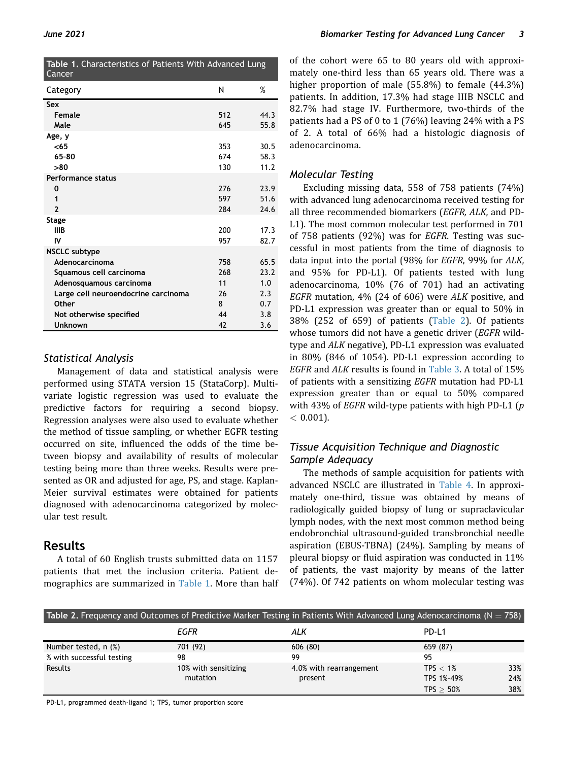<span id="page-2-0"></span>

| Table 1. Characteristics of Patients With Advanced Lung<br>Cancer |     |      |  |
|-------------------------------------------------------------------|-----|------|--|
| Category                                                          | Ν   | %    |  |
| Sex                                                               |     |      |  |
| <b>Female</b>                                                     | 512 | 44.3 |  |
| Male                                                              | 645 | 55.8 |  |
| Age, y                                                            |     |      |  |
| $65$                                                              | 353 | 30.5 |  |
| 65-80                                                             | 674 | 58.3 |  |
| >80                                                               | 130 | 11.2 |  |
| Performance status                                                |     |      |  |
| 0                                                                 | 276 | 23.9 |  |
| 1                                                                 | 597 | 51.6 |  |
| $\overline{2}$                                                    | 284 | 24.6 |  |
| Stage                                                             |     |      |  |
| <b>IIIB</b>                                                       | 200 | 17.3 |  |
| IV                                                                | 957 | 82.7 |  |
| <b>NSCLC</b> subtype                                              |     |      |  |
| Adenocarcinoma                                                    | 758 | 65.5 |  |
| Squamous cell carcinoma                                           | 268 | 23.2 |  |
| Adenosquamous carcinoma                                           | 11  | 1.0  |  |
| Large cell neuroendocrine carcinoma                               | 26  | 2.3  |  |
| Other                                                             | 8   | 0.7  |  |
| Not otherwise specified                                           | 44  | 3.8  |  |
| <b>Unknown</b>                                                    | 42  | 3.6  |  |

# Statistical Analysis

Management of data and statistical analysis were performed using STATA version 15 (StataCorp). Multivariate logistic regression was used to evaluate the predictive factors for requiring a second biopsy. Regression analyses were also used to evaluate whether the method of tissue sampling, or whether EGFR testing occurred on site, influenced the odds of the time between biopsy and availability of results of molecular testing being more than three weeks. Results were presented as OR and adjusted for age, PS, and stage. Kaplan-Meier survival estimates were obtained for patients diagnosed with adenocarcinoma categorized by molecular test result.

# Results

A total of 60 English trusts submitted data on 1157 patients that met the inclusion criteria. Patient de-mographics are summarized in [Table 1](#page-2-0). More than half of the cohort were 65 to 80 years old with approximately one-third less than 65 years old. There was a higher proportion of male (55.8%) to female (44.3%) patients. In addition, 17.3% had stage IIIB NSCLC and 82.7% had stage IV. Furthermore, two-thirds of the patients had a PS of 0 to 1 (76%) leaving 24% with a PS of 2. A total of 66% had a histologic diagnosis of adenocarcinoma.

# Molecular Testing

Excluding missing data, 558 of 758 patients (74%) with advanced lung adenocarcinoma received testing for all three recommended biomarkers (EGFR, ALK, and PD-L1). The most common molecular test performed in 701 of 758 patients (92%) was for EGFR. Testing was successful in most patients from the time of diagnosis to data input into the portal (98% for EGFR, 99% for ALK, and 95% for PD-L1). Of patients tested with lung adenocarcinoma, 10% (76 of 701) had an activating EGFR mutation, 4% (24 of 606) were ALK positive, and PD-L1 expression was greater than or equal to 50% in 38% (252 of 659) of patients ([Table 2\)](#page-2-1). Of patients whose tumors did not have a genetic driver (EGFR wildtype and ALK negative), PD-L1 expression was evaluated in 80% (846 of 1054). PD-L1 expression according to EGFR and ALK results is found in [Table 3.](#page-3-0) A total of 15% of patients with a sensitizing EGFR mutation had PD-L1 expression greater than or equal to 50% compared with 43% of *EGFR* wild-type patients with high PD-L1 ( $p$ )  $< 0.001$ ).

# Tissue Acquisition Technique and Diagnostic Sample Adequacy

The methods of sample acquisition for patients with advanced NSCLC are illustrated in [Table 4.](#page-3-1) In approximately one-third, tissue was obtained by means of radiologically guided biopsy of lung or supraclavicular lymph nodes, with the next most common method being endobronchial ultrasound-guided transbronchial needle aspiration (EBUS-TBNA) (24%). Sampling by means of pleural biopsy or fluid aspiration was conducted in 11% of patients, the vast majority by means of the latter (74%). Of 742 patients on whom molecular testing was

<span id="page-2-1"></span>

| Table 2. Frequency and Outcomes of Predictive Marker Testing in Patients With Advanced Lung Adenocarcinoma ( $N = 758$ ) |                                  |                                    |                                           |                   |
|--------------------------------------------------------------------------------------------------------------------------|----------------------------------|------------------------------------|-------------------------------------------|-------------------|
|                                                                                                                          | EGFR                             | ALK                                | PD-L1                                     |                   |
| Number tested, n (%)                                                                                                     | 701 (92)                         | 606(80)                            | 659 (87)                                  |                   |
| % with successful testing                                                                                                | 98                               | 99                                 | 95                                        |                   |
| Results                                                                                                                  | 10% with sensitizing<br>mutation | 4.0% with rearrangement<br>present | TPS $< 1\%$<br>TPS 1%-49%<br>$TPS > 50\%$ | 33%<br>24%<br>38% |

PD-L1, programmed death-ligand 1; TPS, tumor proportion score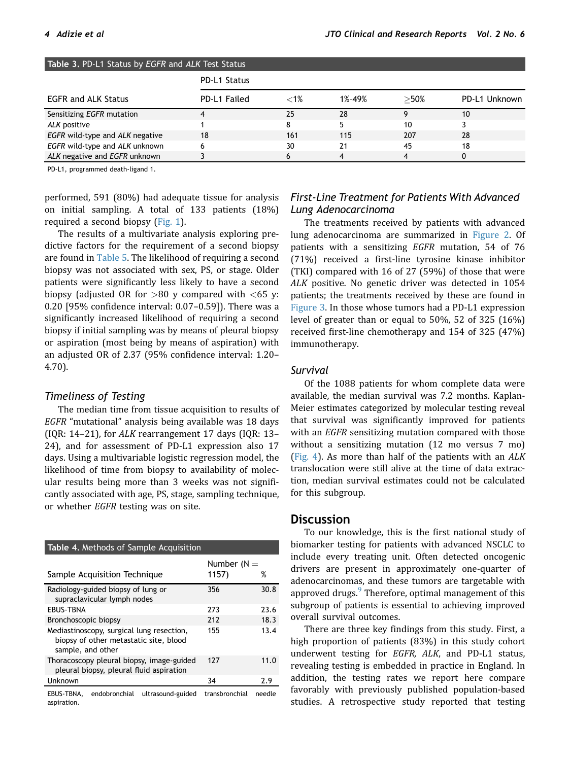<span id="page-3-0"></span>

| <b>Table 3. PD-L1 Status by EGFR and ALK Test Status</b> |              |         |        |         |               |
|----------------------------------------------------------|--------------|---------|--------|---------|---------------|
|                                                          | PD-L1 Status |         |        |         |               |
| <b>EGFR and ALK Status</b>                               | PD-L1 Failed | $< 1\%$ | 1%-49% | $>$ 50% | PD-L1 Unknown |
| Sensitizing EGFR mutation                                | 4            | 25      | 28     | Ω       | 10            |
| ALK positive                                             |              | 8       |        | 10      |               |
| EGFR wild-type and ALK negative                          | 18           | 161     | 115    | 207     | 28            |
| EGFR wild-type and ALK unknown                           | 6            | 30      | 21     | 45      | 18            |
| ALK negative and EGFR unknown                            |              | 6       |        |         |               |

PD-L1, programmed death-ligand 1.

performed, 591 (80%) had adequate tissue for analysis on initial sampling. A total of 133 patients (18%) required a second biopsy [\(Fig. 1\)](#page-4-0).

The results of a multivariate analysis exploring predictive factors for the requirement of a second biopsy are found in [Table 5.](#page-4-1) The likelihood of requiring a second biopsy was not associated with sex, PS, or stage. Older patients were significantly less likely to have a second biopsy (adjusted OR for  $>80$  y compared with  $<$  65 y: 0.20 [95% confidence interval: 0.07–0.59]). There was a significantly increased likelihood of requiring a second biopsy if initial sampling was by means of pleural biopsy or aspiration (most being by means of aspiration) with an adjusted OR of 2.37 (95% confidence interval: 1.20– 4.70).

#### Timeliness of Testing

The median time from tissue acquisition to results of EGFR "mutational" analysis being available was 18 days (IQR: 14–21), for ALK rearrangement 17 days (IQR: 13– 24), and for assessment of PD-L1 expression also 17 days. Using a multivariable logistic regression model, the likelihood of time from biopsy to availability of molecular results being more than 3 weeks was not significantly associated with age, PS, stage, sampling technique, or whether EGFR testing was on site.

<span id="page-3-1"></span>

| Table 4. Methods of Sample Acquisition                                                                   |                        |      |  |
|----------------------------------------------------------------------------------------------------------|------------------------|------|--|
| Sample Acquisition Technique                                                                             | Number $(N =$<br>1157) | %    |  |
| Radiology-guided biopsy of lung or<br>supraclavicular lymph nodes                                        | 356                    | 30.8 |  |
| <b>FRUS-TRNA</b>                                                                                         | 273                    | 23.6 |  |
| Bronchoscopic biopsy                                                                                     | 212                    | 18.3 |  |
| Mediastinoscopy, surgical lung resection,<br>biopsy of other metastatic site, blood<br>sample, and other | 155                    | 13.4 |  |
| Thoracoscopy pleural biopsy, image-guided<br>pleural biopsy, pleural fluid aspiration                    | 127                    | 11.0 |  |
| Unknown                                                                                                  | 34                     | 2.9  |  |

EBUS-TBNA, endobronchial ultrasound-guided transbronchial needle aspiration.

### First-Line Treatment for Patients With Advanced Lung Adenocarcinoma

The treatments received by patients with advanced lung adenocarcinoma are summarized in [Figure 2.](#page-5-0) Of patients with a sensitizing EGFR mutation, 54 of 76 (71%) received a first-line tyrosine kinase inhibitor (TKI) compared with 16 of 27 (59%) of those that were ALK positive. No genetic driver was detected in 1054 patients; the treatments received by these are found in [Figure 3](#page-6-0). In those whose tumors had a PD-L1 expression level of greater than or equal to 50%, 52 of 325 (16%) received first-line chemotherapy and 154 of 325 (47%) immunotherapy.

### **Survival**

Of the 1088 patients for whom complete data were available, the median survival was 7.2 months. Kaplan-Meier estimates categorized by molecular testing reveal that survival was significantly improved for patients with an EGFR sensitizing mutation compared with those without a sensitizing mutation (12 mo versus 7 mo) ([Fig. 4\)](#page-6-1). As more than half of the patients with an ALK translocation were still alive at the time of data extraction, median survival estimates could not be calculated for this subgroup.

#### **Discussion**

To our knowledge, this is the first national study of biomarker testing for patients with advanced NSCLC to include every treating unit. Often detected oncogenic drivers are present in approximately one-quarter of adenocarcinomas, and these tumors are targetable with approved drugs.<sup>[9](#page-8-3)</sup> Therefore, optimal management of this subgroup of patients is essential to achieving improved overall survival outcomes.

There are three key findings from this study. First, a high proportion of patients (83%) in this study cohort underwent testing for EGFR, ALK, and PD-L1 status, revealing testing is embedded in practice in England. In addition, the testing rates we report here compare favorably with previously published population-based studies. A retrospective study reported that testing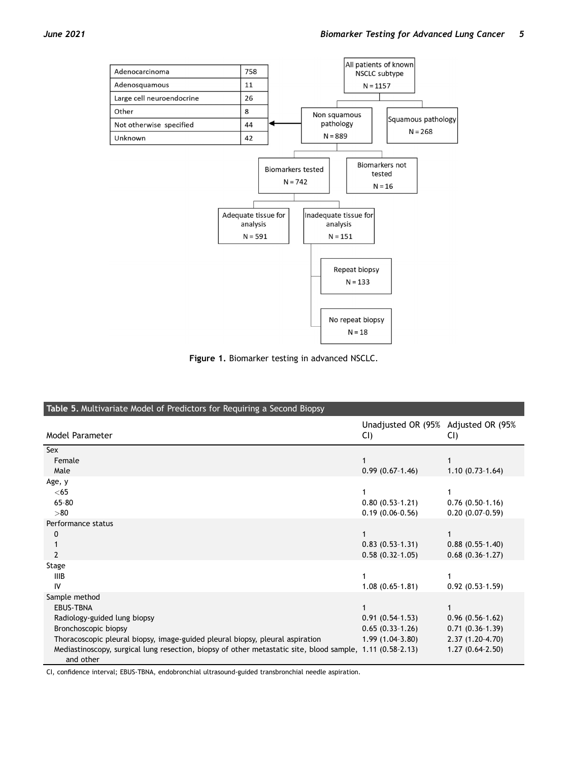<span id="page-4-0"></span>

Figure 1. Biomarker testing in advanced NSCLC.

<span id="page-4-1"></span>

| Table 5. Multivariate Model of Predictors for Requiring a Second Biopsy                                                |                                             |                   |  |
|------------------------------------------------------------------------------------------------------------------------|---------------------------------------------|-------------------|--|
| Model Parameter                                                                                                        | Unadjusted OR (95% Adjusted OR (95%)<br>CI) | CI)               |  |
| Sex                                                                                                                    |                                             |                   |  |
| Female                                                                                                                 |                                             |                   |  |
| Male                                                                                                                   | $0.99(0.67-1.46)$                           | $1.10(0.73-1.64)$ |  |
| Age, y                                                                                                                 |                                             |                   |  |
| $<$ 65                                                                                                                 |                                             |                   |  |
| $65 - 80$                                                                                                              | $0.80(0.53-1.21)$                           | $0.76(0.50-1.16)$ |  |
| > 80                                                                                                                   | $0.19(0.06-0.56)$                           | $0.20(0.07-0.59)$ |  |
| Performance status                                                                                                     |                                             |                   |  |
| 0                                                                                                                      |                                             |                   |  |
|                                                                                                                        | $0.83(0.53-1.31)$                           | $0.88(0.55-1.40)$ |  |
| $\mathcal{P}$                                                                                                          | $0.58(0.32-1.05)$                           | $0.68(0.36-1.27)$ |  |
| Stage                                                                                                                  |                                             |                   |  |
| <b>IIIB</b>                                                                                                            |                                             |                   |  |
| IV                                                                                                                     | $1.08(0.65-1.81)$                           | $0.92(0.53-1.59)$ |  |
| Sample method                                                                                                          |                                             |                   |  |
| <b>EBUS-TBNA</b>                                                                                                       |                                             |                   |  |
| Radiology-guided lung biopsy                                                                                           | $0.91(0.54-1.53)$                           | $0.96(0.56-1.62)$ |  |
| Bronchoscopic biopsy                                                                                                   | $0.65(0.33-1.26)$                           | $0.71(0.36-1.39)$ |  |
| Thoracoscopic pleural biopsy, image-guided pleural biopsy, pleural aspiration                                          | $1.99(1.04-3.80)$                           | $2.37(1.20-4.70)$ |  |
| Mediastinoscopy, surgical lung resection, biopsy of other metastatic site, blood sample, 1.11 (0.58-2.13)<br>and other |                                             | $1.27(0.64-2.50)$ |  |

CI, confidence interval; EBUS-TBNA, endobronchial ultrasound-guided transbronchial needle aspiration.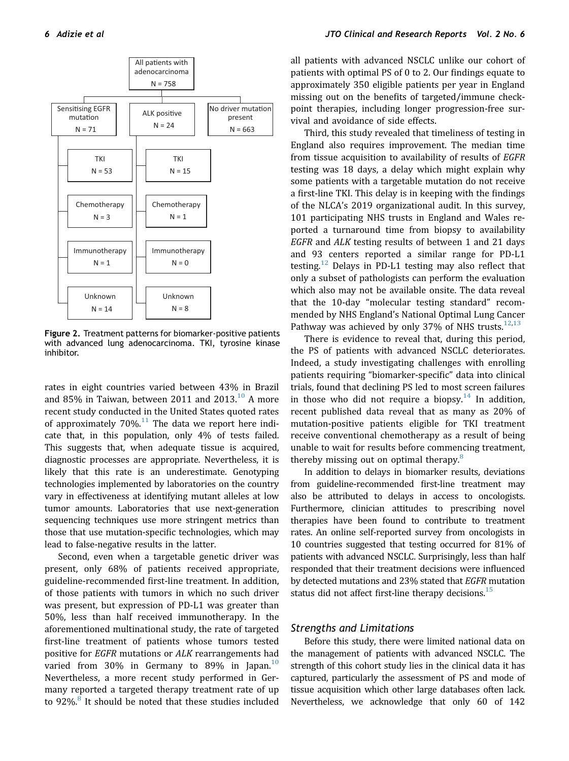<span id="page-5-0"></span>

Figure 2. Treatment patterns for biomarker-positive patients with advanced lung adenocarcinoma. TKI, tyrosine kinase inhibitor.

rates in eight countries varied between 43% in Brazil and 85% in Taiwan, between 2011 and  $2013.<sup>10</sup>$  $2013.<sup>10</sup>$  $2013.<sup>10</sup>$  A more recent study conducted in the United States quoted rates of approximately  $70\%$ .<sup>[11](#page-8-5)</sup> The data we report here indicate that, in this population, only 4% of tests failed. This suggests that, when adequate tissue is acquired, diagnostic processes are appropriate. Nevertheless, it is likely that this rate is an underestimate. Genotyping technologies implemented by laboratories on the country vary in effectiveness at identifying mutant alleles at low tumor amounts. Laboratories that use next-generation sequencing techniques use more stringent metrics than those that use mutation-specific technologies, which may lead to false-negative results in the latter.

Second, even when a targetable genetic driver was present, only 68% of patients received appropriate, guideline-recommended first-line treatment. In addition, of those patients with tumors in which no such driver was present, but expression of PD-L1 was greater than 50%, less than half received immunotherapy. In the aforementioned multinational study, the rate of targeted first-line treatment of patients whose tumors tested positive for EGFR mutations or ALK rearrangements had varied from 30% in Germany to 89% in Japan.<sup>[10](#page-8-4)</sup> Nevertheless, a more recent study performed in Germany reported a targeted therapy treatment rate of up to 92%.<sup>[8](#page-8-2)</sup> It should be noted that these studies included

all patients with advanced NSCLC unlike our cohort of patients with optimal PS of 0 to 2. Our findings equate to approximately 350 eligible patients per year in England missing out on the benefits of targeted/immune checkpoint therapies, including longer progression-free survival and avoidance of side effects.

Third, this study revealed that timeliness of testing in England also requires improvement. The median time from tissue acquisition to availability of results of EGFR testing was 18 days, a delay which might explain why some patients with a targetable mutation do not receive a first-line TKI. This delay is in keeping with the findings of the NLCA's 2019 organizational audit. In this survey, 101 participating NHS trusts in England and Wales reported a turnaround time from biopsy to availability EGFR and ALK testing results of between 1 and 21 days and 93 centers reported a similar range for PD-L1 testing.<sup>[12](#page-8-6)</sup> Delays in PD-L1 testing may also reflect that only a subset of pathologists can perform the evaluation which also may not be available onsite. The data reveal that the 10-day "molecular testing standard" recommended by NHS England's National Optimal Lung Cancer Pathway was achieved by only 37% of NHS trusts. $12,13$  $12,13$  $12,13$ 

There is evidence to reveal that, during this period, the PS of patients with advanced NSCLC deteriorates. Indeed, a study investigating challenges with enrolling patients requiring "biomarker-specific" data into clinical trials, found that declining PS led to most screen failures in those who did not require a biopsy.<sup>[14](#page-8-8)</sup> In addition, recent published data reveal that as many as 20% of mutation-positive patients eligible for TKI treatment receive conventional chemotherapy as a result of being unable to wait for results before commencing treatment, thereby missing out on optimal therapy.<sup>[8](#page-8-2)</sup>

In addition to delays in biomarker results, deviations from guideline-recommended first-line treatment may also be attributed to delays in access to oncologists. Furthermore, clinician attitudes to prescribing novel therapies have been found to contribute to treatment rates. An online self-reported survey from oncologists in 10 countries suggested that testing occurred for 81% of patients with advanced NSCLC. Surprisingly, less than half responded that their treatment decisions were influenced by detected mutations and 23% stated that EGFR mutation status did not affect first-line therapy decisions. $15$ 

#### Strengths and Limitations

Before this study, there were limited national data on the management of patients with advanced NSCLC. The strength of this cohort study lies in the clinical data it has captured, particularly the assessment of PS and mode of tissue acquisition which other large databases often lack. Nevertheless, we acknowledge that only 60 of 142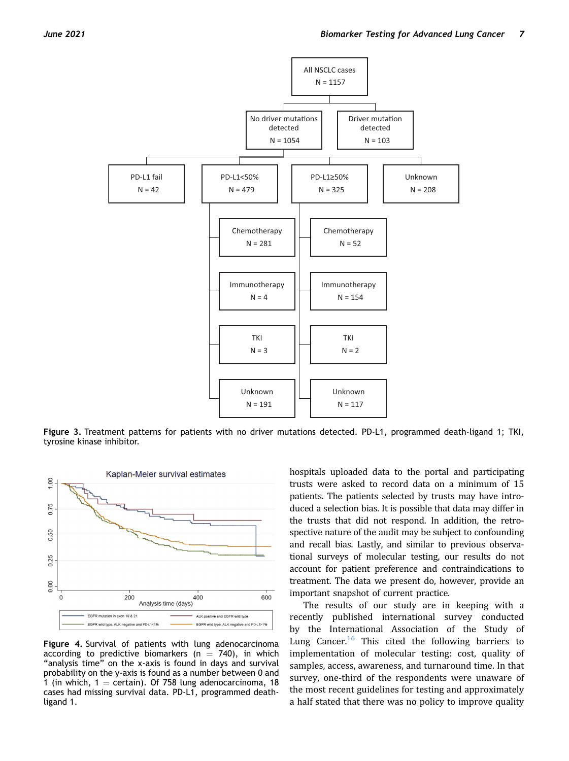<span id="page-6-0"></span>

Figure 3. Treatment patterns for patients with no driver mutations detected. PD-L1, programmed death-ligand 1; TKI, tyrosine kinase inhibitor.

<span id="page-6-1"></span>

Figure 4. Survival of patients with lung adenocarcinoma according to predictive biomarkers ( $n = 740$ ), in which "analysis time" on the x-axis is found in days and survival probability on the y-axis is found as a number between 0 and 1 (in which,  $1 =$  certain). Of 758 lung adenocarcinoma, 18 cases had missing survival data. PD-L1, programmed deathligand 1.

hospitals uploaded data to the portal and participating trusts were asked to record data on a minimum of 15 patients. The patients selected by trusts may have introduced a selection bias. It is possible that data may differ in the trusts that did not respond. In addition, the retrospective nature of the audit may be subject to confounding and recall bias. Lastly, and similar to previous observational surveys of molecular testing, our results do not account for patient preference and contraindications to treatment. The data we present do, however, provide an important snapshot of current practice.

The results of our study are in keeping with a recently published international survey conducted by the International Association of the Study of Lung Cancer.<sup>[16](#page-8-10)</sup> This cited the following barriers to implementation of molecular testing: cost, quality of samples, access, awareness, and turnaround time. In that survey, one-third of the respondents were unaware of the most recent guidelines for testing and approximately a half stated that there was no policy to improve quality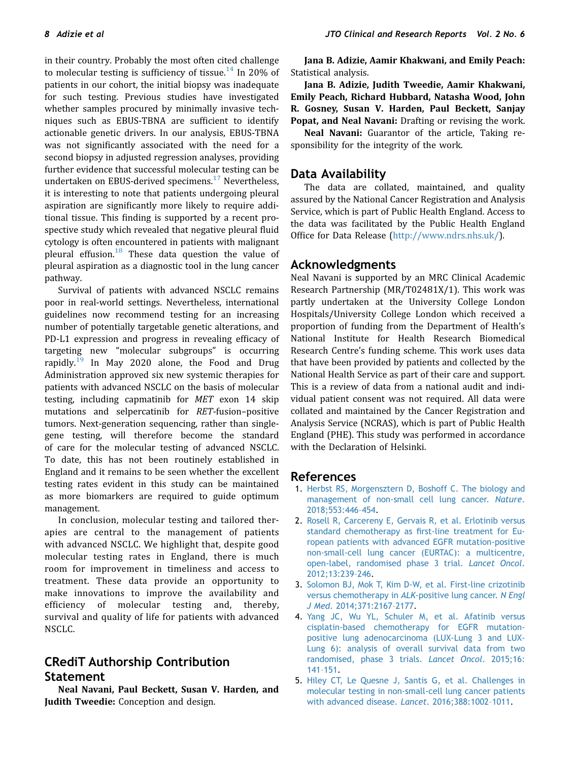in their country. Probably the most often cited challenge to molecular testing is sufficiency of tissue.<sup>[14](#page-8-8)</sup> In 20% of patients in our cohort, the initial biopsy was inadequate for such testing. Previous studies have investigated whether samples procured by minimally invasive techniques such as EBUS-TBNA are sufficient to identify actionable genetic drivers. In our analysis, EBUS-TBNA was not significantly associated with the need for a second biopsy in adjusted regression analyses, providing further evidence that successful molecular testing can be undertaken on EBUS-derived specimens.<sup>[17](#page-8-11)</sup> Nevertheless, it is interesting to note that patients undergoing pleural aspiration are significantly more likely to require additional tissue. This finding is supported by a recent prospective study which revealed that negative pleural fluid cytology is often encountered in patients with malignant pleural effusion. $18$  These data question the value of pleural aspiration as a diagnostic tool in the lung cancer pathway.

Survival of patients with advanced NSCLC remains poor in real-world settings. Nevertheless, international guidelines now recommend testing for an increasing number of potentially targetable genetic alterations, and PD-L1 expression and progress in revealing efficacy of targeting new "molecular subgroups" is occurring rapidly.<sup>[19](#page-8-13)</sup> In May 2020 alone, the Food and Drug Administration approved six new systemic therapies for patients with advanced NSCLC on the basis of molecular testing, including capmatinib for MET exon 14 skip mutations and selpercatinib for RET-fusion–positive tumors. Next-generation sequencing, rather than singlegene testing, will therefore become the standard of care for the molecular testing of advanced NSCLC. To date, this has not been routinely established in England and it remains to be seen whether the excellent testing rates evident in this study can be maintained as more biomarkers are required to guide optimum management.

In conclusion, molecular testing and tailored therapies are central to the management of patients with advanced NSCLC. We highlight that, despite good molecular testing rates in England, there is much room for improvement in timeliness and access to treatment. These data provide an opportunity to make innovations to improve the availability and efficiency of molecular testing and, thereby, survival and quality of life for patients with advanced NSCLC.

# CRediT Authorship Contribution Statement

Neal Navani, Paul Beckett, Susan V. Harden, and Judith Tweedie: Conception and design.

Jana B. Adizie, Aamir Khakwani, and Emily Peach: Statistical analysis.

Jana B. Adizie, Judith Tweedie, Aamir Khakwani, Emily Peach, Richard Hubbard, Natasha Wood, John R. Gosney, Susan V. Harden, Paul Beckett, Sanjay Popat, and Neal Navani: Drafting or revising the work.

Neal Navani: Guarantor of the article, Taking responsibility for the integrity of the work.

# Data Availability

The data are collated, maintained, and quality assured by the National Cancer Registration and Analysis Service, which is part of Public Health England. Access to the data was facilitated by the Public Health England Office for Data Release [\(http://www.ndrs.nhs.uk/](http://www.ndrs.nhs.uk/)).

# Acknowledgments

Neal Navani is supported by an MRC Clinical Academic Research Partnership (MR/T02481X/1). This work was partly undertaken at the University College London Hospitals/University College London which received a proportion of funding from the Department of Health's National Institute for Health Research Biomedical Research Centre's funding scheme. This work uses data that have been provided by patients and collected by the National Health Service as part of their care and support. This is a review of data from a national audit and individual patient consent was not required. All data were collated and maintained by the Cancer Registration and Analysis Service (NCRAS), which is part of Public Health England (PHE). This study was performed in accordance with the Declaration of Helsinki.

# <span id="page-7-0"></span>References

- 1. [Herbst RS, Morgensztern D, Boshoff C. The biology and](http://refhub.elsevier.com/S2666-3643(21)00035-7/sref1) [management of non-small cell lung cancer.](http://refhub.elsevier.com/S2666-3643(21)00035-7/sref1) Nature. [2018;553:446](http://refhub.elsevier.com/S2666-3643(21)00035-7/sref1)–454.
- <span id="page-7-1"></span>2. [Rosell R, Carcereny E, Gervais R, et al. Erlotinib versus](http://refhub.elsevier.com/S2666-3643(21)00035-7/sref2) [standard chemotherapy as](http://refhub.elsevier.com/S2666-3643(21)00035-7/sref2) first-line treatment for Eu[ropean patients with advanced EGFR mutation-positive](http://refhub.elsevier.com/S2666-3643(21)00035-7/sref2) [non-small-cell lung cancer \(EURTAC\): a multicentre,](http://refhub.elsevier.com/S2666-3643(21)00035-7/sref2) [open-label, randomised phase 3 trial.](http://refhub.elsevier.com/S2666-3643(21)00035-7/sref2) Lancet Oncol. [2012;13:239](http://refhub.elsevier.com/S2666-3643(21)00035-7/sref2)–246.
- 3. [Solomon BJ, Mok T, Kim D-W, et al. First-line crizotinib](http://refhub.elsevier.com/S2666-3643(21)00035-7/sref3) [versus chemotherapy in](http://refhub.elsevier.com/S2666-3643(21)00035-7/sref3) ALK-positive lung cancer. N Engl J Med[. 2014;371:2167](http://refhub.elsevier.com/S2666-3643(21)00035-7/sref3)–2177.
- 4. [Yang JC, Wu YL, Schuler M, et al. Afatinib versus](http://refhub.elsevier.com/S2666-3643(21)00035-7/sref4) [cisplatin-based chemotherapy for EGFR mutation](http://refhub.elsevier.com/S2666-3643(21)00035-7/sref4)[positive lung adenocarcinoma \(LUX-Lung 3 and LUX-](http://refhub.elsevier.com/S2666-3643(21)00035-7/sref4)[Lung 6\): analysis of overall survival data from two](http://refhub.elsevier.com/S2666-3643(21)00035-7/sref4) [randomised, phase 3 trials.](http://refhub.elsevier.com/S2666-3643(21)00035-7/sref4) Lancet Oncol. 2015;16: 141–[151](http://refhub.elsevier.com/S2666-3643(21)00035-7/sref4).
- <span id="page-7-2"></span>5. [Hiley CT, Le Quesne J, Santis G, et al. Challenges in](http://refhub.elsevier.com/S2666-3643(21)00035-7/sref5) [molecular testing in non-small-cell lung cancer patients](http://refhub.elsevier.com/S2666-3643(21)00035-7/sref5) [with advanced disease.](http://refhub.elsevier.com/S2666-3643(21)00035-7/sref5) Lancet. 2016;388:1002–1011.